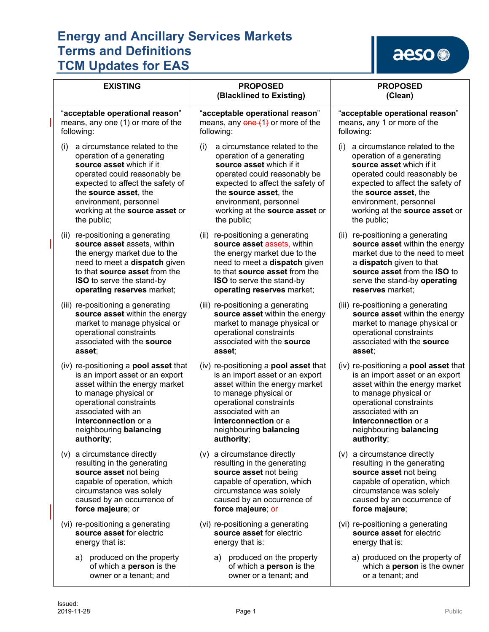| <b>EXISTING</b>                                                                                                                                                                                                                     | <b>PROPOSED</b><br>(Blacklined to Existing)                                                                                                                                                                                         | <b>PROPOSED</b><br>(Clean)                                                                                                                                                                                              |
|-------------------------------------------------------------------------------------------------------------------------------------------------------------------------------------------------------------------------------------|-------------------------------------------------------------------------------------------------------------------------------------------------------------------------------------------------------------------------------------|-------------------------------------------------------------------------------------------------------------------------------------------------------------------------------------------------------------------------|
| "acceptable operational reason"                                                                                                                                                                                                     | "acceptable operational reason"                                                                                                                                                                                                     | "acceptable operational reason"                                                                                                                                                                                         |
| means, any one (1) or more of the                                                                                                                                                                                                   | means, any $\frac{1}{2}$ or more of the                                                                                                                                                                                             | means, any 1 or more of the                                                                                                                                                                                             |
| following:                                                                                                                                                                                                                          | following:                                                                                                                                                                                                                          | following:                                                                                                                                                                                                              |
| a circumstance related to the                                                                                                                                                                                                       | a circumstance related to the                                                                                                                                                                                                       | a circumstance related to the                                                                                                                                                                                           |
| (i)                                                                                                                                                                                                                                 | (i)                                                                                                                                                                                                                                 | (i)                                                                                                                                                                                                                     |
| operation of a generating                                                                                                                                                                                                           | operation of a generating                                                                                                                                                                                                           | operation of a generating                                                                                                                                                                                               |
| source asset which if it                                                                                                                                                                                                            | source asset which if it                                                                                                                                                                                                            | source asset which if it                                                                                                                                                                                                |
| operated could reasonably be                                                                                                                                                                                                        | operated could reasonably be                                                                                                                                                                                                        | operated could reasonably be                                                                                                                                                                                            |
| expected to affect the safety of                                                                                                                                                                                                    | expected to affect the safety of                                                                                                                                                                                                    | expected to affect the safety of                                                                                                                                                                                        |
| the source asset, the                                                                                                                                                                                                               | the source asset, the                                                                                                                                                                                                               | the source asset, the                                                                                                                                                                                                   |
| environment, personnel                                                                                                                                                                                                              | environment, personnel                                                                                                                                                                                                              | environment, personnel                                                                                                                                                                                                  |
| working at the source asset or                                                                                                                                                                                                      | working at the source asset or                                                                                                                                                                                                      | working at the source asset or                                                                                                                                                                                          |
| the public;                                                                                                                                                                                                                         | the public;                                                                                                                                                                                                                         | the public;                                                                                                                                                                                                             |
| (ii) re-positioning a generating<br>source asset assets, within<br>the energy market due to the<br>need to meet a dispatch given<br>to that source asset from the<br><b>ISO</b> to serve the stand-by<br>operating reserves market; | (ii) re-positioning a generating<br>source asset-assets, within<br>the energy market due to the<br>need to meet a dispatch given<br>to that source asset from the<br><b>ISO</b> to serve the stand-by<br>operating reserves market; | re-positioning a generating<br>(ii)<br>source asset within the energy<br>market due to the need to meet<br>a dispatch given to that<br>source asset from the ISO to<br>serve the stand-by operating<br>reserves market: |
| (iii) re-positioning a generating                                                                                                                                                                                                   | (iii) re-positioning a generating                                                                                                                                                                                                   | (iii) re-positioning a generating                                                                                                                                                                                       |
| source asset within the energy                                                                                                                                                                                                      | source asset within the energy                                                                                                                                                                                                      | source asset within the energy                                                                                                                                                                                          |
| market to manage physical or                                                                                                                                                                                                        | market to manage physical or                                                                                                                                                                                                        | market to manage physical or                                                                                                                                                                                            |
| operational constraints                                                                                                                                                                                                             | operational constraints                                                                                                                                                                                                             | operational constraints                                                                                                                                                                                                 |
| associated with the source                                                                                                                                                                                                          | associated with the source                                                                                                                                                                                                          | associated with the source                                                                                                                                                                                              |
| asset;                                                                                                                                                                                                                              | asset;                                                                                                                                                                                                                              | asset;                                                                                                                                                                                                                  |
| (iv) re-positioning a <b>pool asset</b> that                                                                                                                                                                                        | (iv) re-positioning a <b>pool asset</b> that                                                                                                                                                                                        | (iv) re-positioning a pool asset that                                                                                                                                                                                   |
| is an import asset or an export                                                                                                                                                                                                     | is an import asset or an export                                                                                                                                                                                                     | is an import asset or an export                                                                                                                                                                                         |
| asset within the energy market                                                                                                                                                                                                      | asset within the energy market                                                                                                                                                                                                      | asset within the energy market                                                                                                                                                                                          |
| to manage physical or                                                                                                                                                                                                               | to manage physical or                                                                                                                                                                                                               | to manage physical or                                                                                                                                                                                                   |
| operational constraints                                                                                                                                                                                                             | operational constraints                                                                                                                                                                                                             | operational constraints                                                                                                                                                                                                 |
| associated with an                                                                                                                                                                                                                  | associated with an                                                                                                                                                                                                                  | associated with an                                                                                                                                                                                                      |
| interconnection or a                                                                                                                                                                                                                | interconnection or a                                                                                                                                                                                                                | interconnection or a                                                                                                                                                                                                    |
| neighbouring balancing                                                                                                                                                                                                              | neighbouring balancing                                                                                                                                                                                                              | neighbouring balancing                                                                                                                                                                                                  |
| authority;                                                                                                                                                                                                                          | authority;                                                                                                                                                                                                                          | authority;                                                                                                                                                                                                              |
| (v) a circumstance directly                                                                                                                                                                                                         | (v) a circumstance directly                                                                                                                                                                                                         | (v) a circumstance directly                                                                                                                                                                                             |
| resulting in the generating                                                                                                                                                                                                         | resulting in the generating                                                                                                                                                                                                         | resulting in the generating                                                                                                                                                                                             |
| source asset not being                                                                                                                                                                                                              | source asset not being                                                                                                                                                                                                              | source asset not being                                                                                                                                                                                                  |
| capable of operation, which                                                                                                                                                                                                         | capable of operation, which                                                                                                                                                                                                         | capable of operation, which                                                                                                                                                                                             |
| circumstance was solely                                                                                                                                                                                                             | circumstance was solely                                                                                                                                                                                                             | circumstance was solely                                                                                                                                                                                                 |
| caused by an occurrence of                                                                                                                                                                                                          | caused by an occurrence of                                                                                                                                                                                                          | caused by an occurrence of                                                                                                                                                                                              |
| force majeure; or                                                                                                                                                                                                                   | force majeure; or                                                                                                                                                                                                                   | force majeure;                                                                                                                                                                                                          |
| (vi) re-positioning a generating                                                                                                                                                                                                    | (vi) re-positioning a generating                                                                                                                                                                                                    | (vi) re-positioning a generating                                                                                                                                                                                        |
| source asset for electric                                                                                                                                                                                                           | source asset for electric                                                                                                                                                                                                           | source asset for electric                                                                                                                                                                                               |
| energy that is:                                                                                                                                                                                                                     | energy that is:                                                                                                                                                                                                                     | energy that is:                                                                                                                                                                                                         |
| produced on the property<br>a)<br>of which a person is the<br>owner or a tenant; and                                                                                                                                                | produced on the property<br>a)<br>of which a person is the<br>owner or a tenant; and                                                                                                                                                | a) produced on the property of<br>which a <b>person</b> is the owner<br>or a tenant; and                                                                                                                                |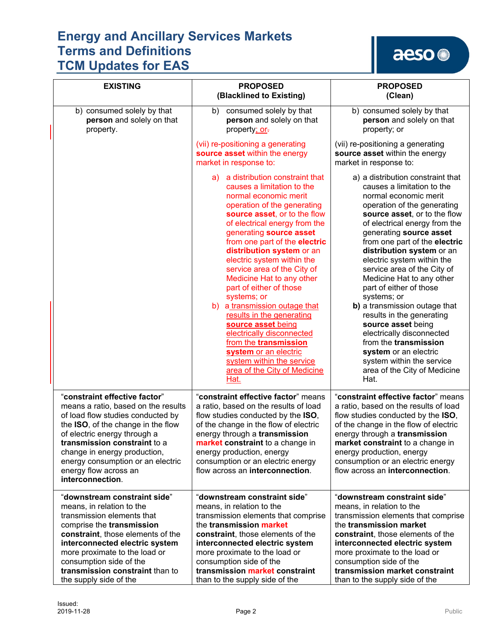| <b>EXISTING</b>                                                                                                                                                                                                                                                                                                                   | <b>PROPOSED</b><br>(Blacklined to Existing)                                                                                                                                                                                                                                                                                                                                                                                                                                                                                                                                                                                                                          | <b>PROPOSED</b><br>(Clean)                                                                                                                                                                                                                                                                                                                                                                                                                                                                                                                                                                                                                                    |
|-----------------------------------------------------------------------------------------------------------------------------------------------------------------------------------------------------------------------------------------------------------------------------------------------------------------------------------|----------------------------------------------------------------------------------------------------------------------------------------------------------------------------------------------------------------------------------------------------------------------------------------------------------------------------------------------------------------------------------------------------------------------------------------------------------------------------------------------------------------------------------------------------------------------------------------------------------------------------------------------------------------------|---------------------------------------------------------------------------------------------------------------------------------------------------------------------------------------------------------------------------------------------------------------------------------------------------------------------------------------------------------------------------------------------------------------------------------------------------------------------------------------------------------------------------------------------------------------------------------------------------------------------------------------------------------------|
| b) consumed solely by that<br>person and solely on that<br>property.                                                                                                                                                                                                                                                              | consumed solely by that<br>b)<br>person and solely on that<br>property; or-                                                                                                                                                                                                                                                                                                                                                                                                                                                                                                                                                                                          | b) consumed solely by that<br>person and solely on that<br>property; or                                                                                                                                                                                                                                                                                                                                                                                                                                                                                                                                                                                       |
|                                                                                                                                                                                                                                                                                                                                   | (vii) re-positioning a generating<br>source asset within the energy<br>market in response to:                                                                                                                                                                                                                                                                                                                                                                                                                                                                                                                                                                        | (vii) re-positioning a generating<br>source asset within the energy<br>market in response to:                                                                                                                                                                                                                                                                                                                                                                                                                                                                                                                                                                 |
|                                                                                                                                                                                                                                                                                                                                   | a) a distribution constraint that<br>causes a limitation to the<br>normal economic merit<br>operation of the generating<br>source asset, or to the flow<br>of electrical energy from the<br>generating source asset<br>from one part of the electric<br>distribution system or an<br>electric system within the<br>service area of the City of<br>Medicine Hat to any other<br>part of either of those<br>systems; or<br>b) a transmission outage that<br>results in the generating<br>source asset being<br>electrically disconnected<br>from the transmission<br>system or an electric<br>system within the service<br>area of the City of Medicine<br><u>Hat.</u> | a) a distribution constraint that<br>causes a limitation to the<br>normal economic merit<br>operation of the generating<br>source asset, or to the flow<br>of electrical energy from the<br>generating source asset<br>from one part of the electric<br>distribution system or an<br>electric system within the<br>service area of the City of<br>Medicine Hat to any other<br>part of either of those<br>systems; or<br>b) a transmission outage that<br>results in the generating<br>source asset being<br>electrically disconnected<br>from the transmission<br>system or an electric<br>system within the service<br>area of the City of Medicine<br>Hat. |
| "constraint effective factor"<br>means a ratio, based on the results<br>of load flow studies conducted by<br>the ISO, of the change in the flow<br>of electric energy through a<br>transmission constraint to a<br>change in energy production,<br>energy consumption or an electric<br>energy flow across an<br>interconnection. | "constraint effective factor" means<br>a ratio, based on the results of load<br>flow studies conducted by the ISO,<br>of the change in the flow of electric<br>energy through a transmission<br>market constraint to a change in<br>energy production, energy<br>consumption or an electric energy<br>flow across an interconnection.                                                                                                                                                                                                                                                                                                                                | "constraint effective factor" means<br>a ratio, based on the results of load<br>flow studies conducted by the ISO,<br>of the change in the flow of electric<br>energy through a transmission<br>market constraint to a change in<br>energy production, energy<br>consumption or an electric energy<br>flow across an interconnection.                                                                                                                                                                                                                                                                                                                         |
| "downstream constraint side"<br>means, in relation to the<br>transmission elements that<br>comprise the transmission<br>constraint, those elements of the<br>interconnected electric system<br>more proximate to the load or<br>consumption side of the<br>transmission constraint than to<br>the supply side of the              | "downstream constraint side"<br>means, in relation to the<br>transmission elements that comprise<br>the transmission market<br>constraint, those elements of the<br>interconnected electric system<br>more proximate to the load or<br>consumption side of the<br>transmission market constraint<br>than to the supply side of the                                                                                                                                                                                                                                                                                                                                   | "downstream constraint side"<br>means, in relation to the<br>transmission elements that comprise<br>the transmission market<br>constraint, those elements of the<br>interconnected electric system<br>more proximate to the load or<br>consumption side of the<br>transmission market constraint<br>than to the supply side of the                                                                                                                                                                                                                                                                                                                            |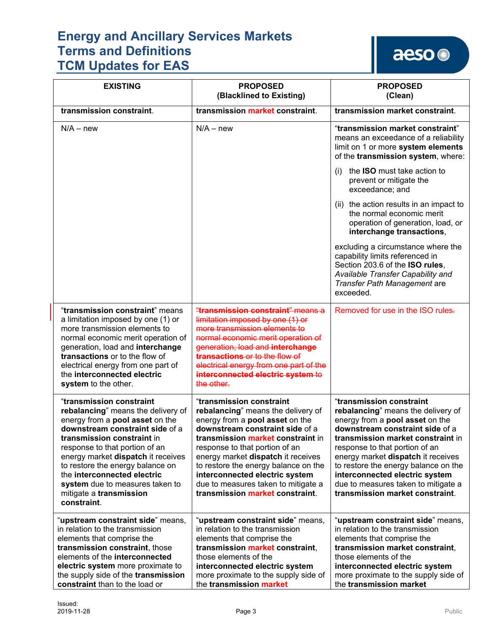| <b>EXISTING</b>                                                                                                                                                                                                                                                                                                                                                                            | <b>PROPOSED</b><br>(Blacklined to Existing)                                                                                                                                                                                                                                                                                                                                                           | <b>PROPOSED</b><br>(Clean)                                                                                                                                                                                                                                                                                                                                                                            |
|--------------------------------------------------------------------------------------------------------------------------------------------------------------------------------------------------------------------------------------------------------------------------------------------------------------------------------------------------------------------------------------------|-------------------------------------------------------------------------------------------------------------------------------------------------------------------------------------------------------------------------------------------------------------------------------------------------------------------------------------------------------------------------------------------------------|-------------------------------------------------------------------------------------------------------------------------------------------------------------------------------------------------------------------------------------------------------------------------------------------------------------------------------------------------------------------------------------------------------|
| transmission constraint.                                                                                                                                                                                                                                                                                                                                                                   | transmission market constraint.                                                                                                                                                                                                                                                                                                                                                                       | transmission market constraint.                                                                                                                                                                                                                                                                                                                                                                       |
| $N/A - new$                                                                                                                                                                                                                                                                                                                                                                                | $N/A - new$                                                                                                                                                                                                                                                                                                                                                                                           | "transmission market constraint"<br>means an exceedance of a reliability<br>limit on 1 or more system elements<br>of the transmission system, where:                                                                                                                                                                                                                                                  |
|                                                                                                                                                                                                                                                                                                                                                                                            |                                                                                                                                                                                                                                                                                                                                                                                                       | the <b>ISO</b> must take action to<br>(i)<br>prevent or mitigate the<br>exceedance; and                                                                                                                                                                                                                                                                                                               |
|                                                                                                                                                                                                                                                                                                                                                                                            |                                                                                                                                                                                                                                                                                                                                                                                                       | (ii) the action results in an impact to<br>the normal economic merit<br>operation of generation, load, or<br>interchange transactions,                                                                                                                                                                                                                                                                |
|                                                                                                                                                                                                                                                                                                                                                                                            |                                                                                                                                                                                                                                                                                                                                                                                                       | excluding a circumstance where the<br>capability limits referenced in<br>Section 203.6 of the ISO rules,<br>Available Transfer Capability and<br>Transfer Path Management are<br>exceeded.                                                                                                                                                                                                            |
| "transmission constraint" means<br>a limitation imposed by one (1) or<br>more transmission elements to<br>normal economic merit operation of<br>generation, load and interchange<br>transactions or to the flow of<br>electrical energy from one part of<br>the interconnected electric<br>system to the other.                                                                            | "transmission constraint" means a<br>limitation imposed by one (1) or<br>more transmission elements to<br>normal economic merit operation of<br>generation, load and interchange<br>transactions or to the flow of<br>electrical energy from one part of the<br>interconnected electric system to<br>the other.                                                                                       | Removed for use in the ISO rules-                                                                                                                                                                                                                                                                                                                                                                     |
| "transmission constraint<br>rebalancing" means the delivery of<br>energy from a pool asset on the<br>downstream constraint side of a<br>transmission constraint in<br>response to that portion of an<br>energy market dispatch it receives<br>to restore the energy balance on<br>the interconnected electric<br>system due to measures taken to<br>mitigate a transmission<br>constraint. | "transmission constraint<br>rebalancing" means the delivery of<br>energy from a pool asset on the<br>downstream constraint side of a<br>transmission market constraint in<br>response to that portion of an<br>energy market dispatch it receives<br>to restore the energy balance on the<br>interconnected electric system<br>due to measures taken to mitigate a<br>transmission market constraint. | "transmission constraint<br>rebalancing" means the delivery of<br>energy from a pool asset on the<br>downstream constraint side of a<br>transmission market constraint in<br>response to that portion of an<br>energy market dispatch it receives<br>to restore the energy balance on the<br>interconnected electric system<br>due to measures taken to mitigate a<br>transmission market constraint. |
| "upstream constraint side" means,<br>in relation to the transmission<br>elements that comprise the<br>transmission constraint, those<br>elements of the interconnected<br>electric system more proximate to<br>the supply side of the transmission<br>constraint than to the load or                                                                                                       | "upstream constraint side" means,<br>in relation to the transmission<br>elements that comprise the<br>transmission market constraint,<br>those elements of the<br>interconnected electric system<br>more proximate to the supply side of<br>the transmission market                                                                                                                                   | "upstream constraint side" means,<br>in relation to the transmission<br>elements that comprise the<br>transmission market constraint,<br>those elements of the<br>interconnected electric system<br>more proximate to the supply side of<br>the transmission market                                                                                                                                   |